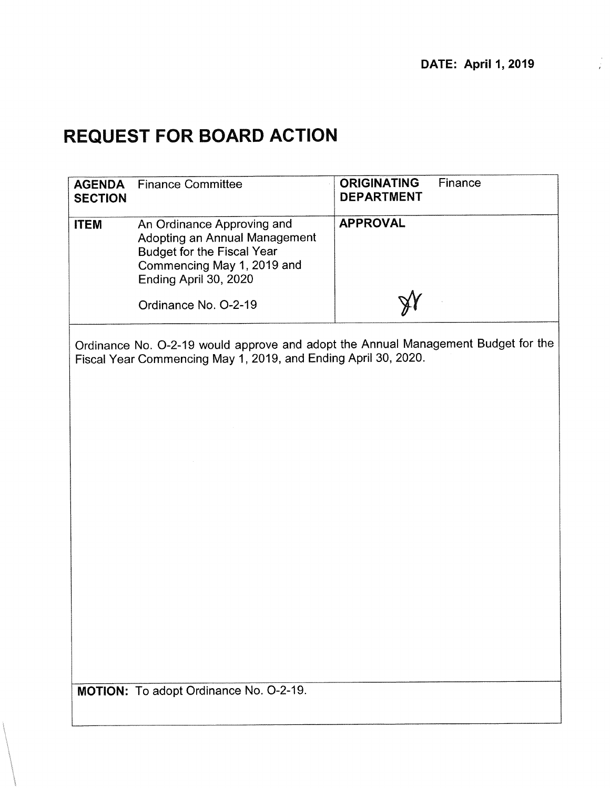# **1 REQUEST FOR BOARD ACTION**

| <b>AGENDA</b><br><b>SECTION</b> | <b>Finance Committee</b>                                                                                                                                | <b>ORIGINATING</b><br>Finance<br><b>DEPARTMENT</b>                                |
|---------------------------------|---------------------------------------------------------------------------------------------------------------------------------------------------------|-----------------------------------------------------------------------------------|
| <b>ITEM</b>                     | An Ordinance Approving and<br>Adopting an Annual Management<br><b>Budget for the Fiscal Year</b><br>Commencing May 1, 2019 and<br>Ending April 30, 2020 | <b>APPROVAL</b>                                                                   |
|                                 | Ordinance No. O-2-19                                                                                                                                    |                                                                                   |
|                                 | Fiscal Year Commencing May 1, 2019, and Ending April 30, 2020.                                                                                          | Ordinance No. O-2-19 would approve and adopt the Annual Management Budget for the |
|                                 |                                                                                                                                                         |                                                                                   |
|                                 | MOTION: To adopt Ordinance No. O-2-19.                                                                                                                  |                                                                                   |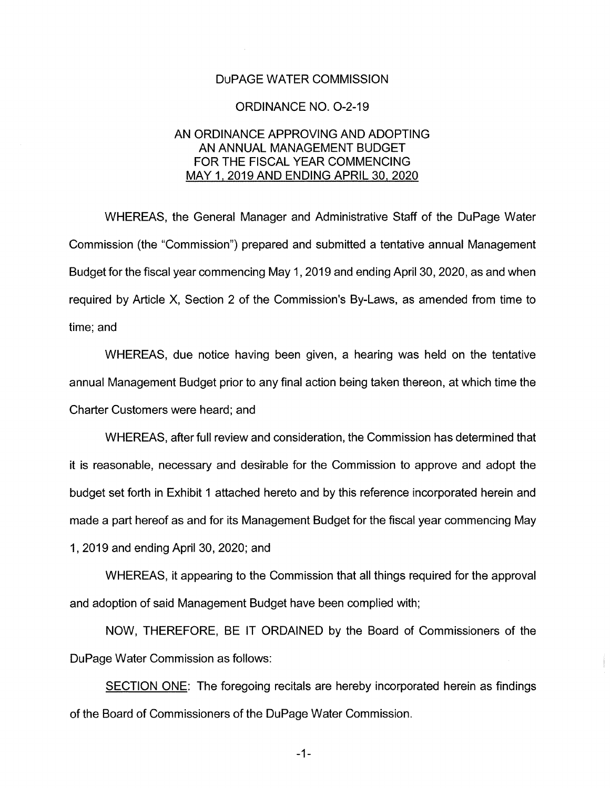#### DuPAGE WATER COMMISSION

#### **ORDINANCE NO. O-2-19**

## AN ORDINANCE APPROVING AND ADOPTING AN ANNUAL MANAGEMENT BUDGET FOR THE FISCAL YEAR COMMENCING MAY 1, 2019 AND ENDING APRIL 30, 2020

WHEREAS, the General Manager and Administrative Staff of the DuPage Water Commission (the "Commission") prepared and submitted a tentative annual Management Budget for the fiscal year commencing May 1, 2019 and ending April 30, 2020, as and when required by Article X, Section 2 of the Commission's By-Laws, as amended from time to time; and

WHEREAS, due notice having been given, a hearing was held on the tentative annual Management Budget prior to any final action being taken thereon, at which time the Charter Customers were heard; and

WHEREAS, after full review and consideration, the Commission has determined that it is reasonable, necessary and desirable for the Commission to approve and adopt the budget set forth in Exhibit 1 attached hereto and by this reference incorporated herein and made a part hereof as and for its Management Budget for the fiscal year commencing May 1, 2019 and ending April 30, 2020; and

WHEREAS, it appearing to the Commission that all things required for the approval and adoption of said Management Budget have been complied with;

NOW, THEREFORE, BE IT ORDAINED by the Board of Commissioners of the DuPage Water Commission as follows:

SECTION ONE: The foregoing recitals are hereby incorporated herein as findings of the Board of Commissioners of the DuPage Water Commission.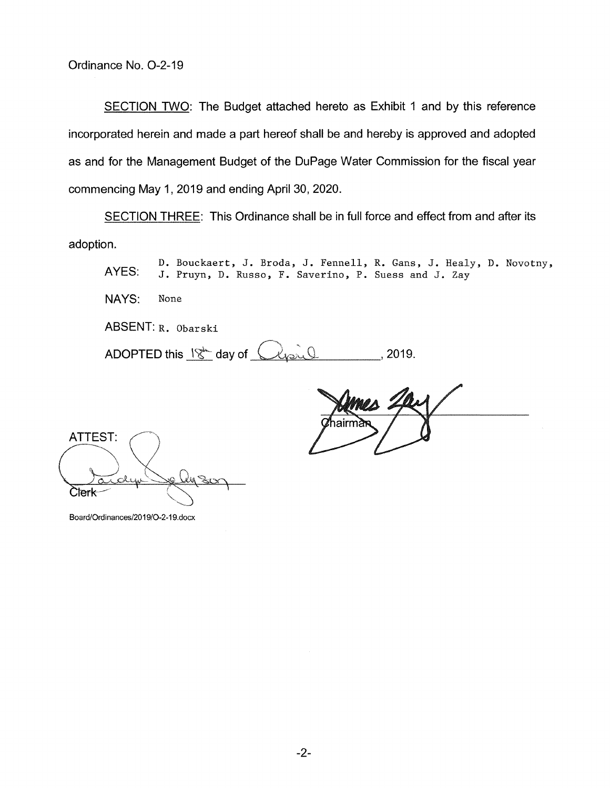SECTION TWO: The Budget attached hereto as Exhibit 1 and by this reference incorporated herein and made a part hereof shall be and hereby is approved and adopted as and for the Management Budget of the DuPage Water Commission for the fiscal year commencing May 1, 2019 and ending April 30, 2020.

SECTION THREE: This Ordinance shall be in full force and effect from and after its adoption.

D. Bouckaert, J. Broda, J. Fennell, R. Gans, J. Healy, D. Novotny, AYES: J. Pruyn, D. Russo, F. Saverino, P. Suess and J. Zay

NAYS: None

ABSENT: R. Obarski

**ABSENT: R. Obarski**<br>ABSENT: R. Obarski<br>ADOPTED this <u>18th</u> day of <u>Plesil</u> <u>2019.</u> 2019.

ATTEST:

Board/Ordinances/2019/O-2-19.docx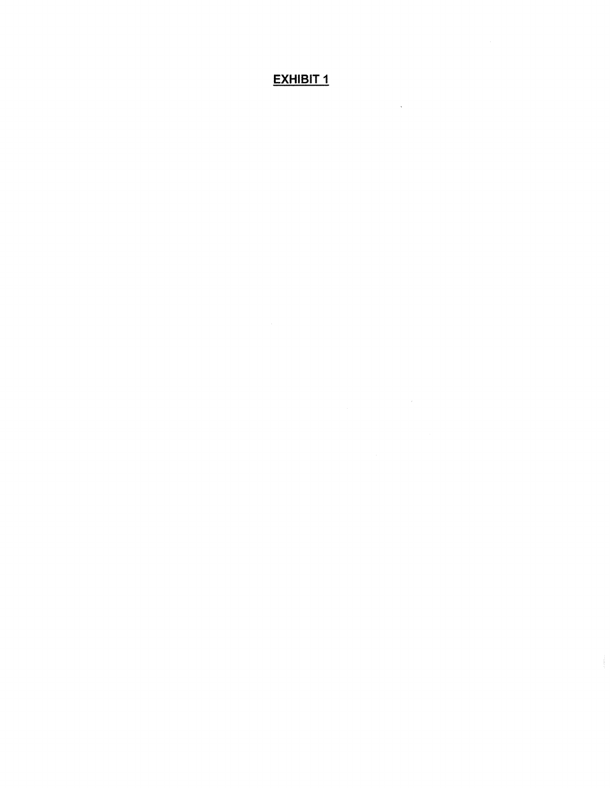# **EXHIBIT 1**

 $\bar{\lambda}$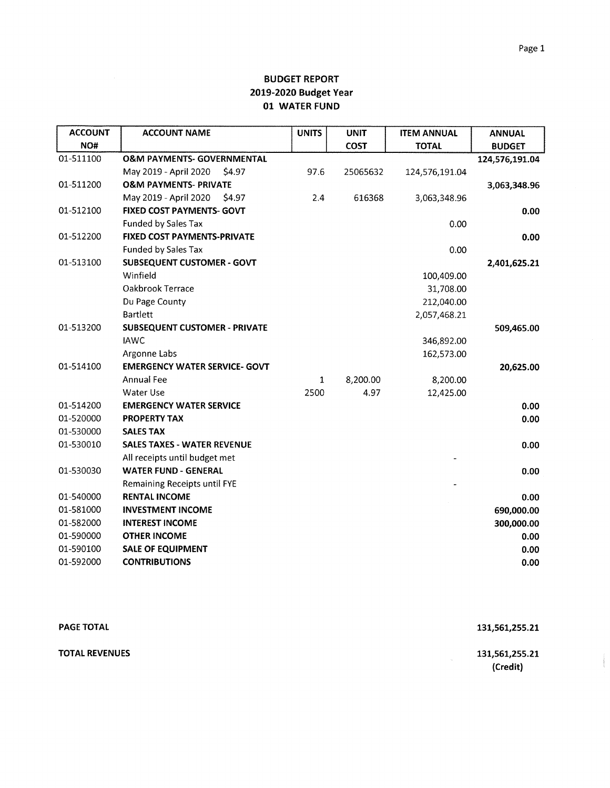| <b>ACCOUNT</b> | <b>ACCOUNT NAME</b>                   | <b>UNITS</b> | <b>UNIT</b> | <b>ITEM ANNUAL</b> | <b>ANNUAL</b>  |
|----------------|---------------------------------------|--------------|-------------|--------------------|----------------|
| NO#            |                                       |              | <b>COST</b> | <b>TOTAL</b>       | <b>BUDGET</b>  |
| 01-511100      | <b>O&amp;M PAYMENTS- GOVERNMENTAL</b> |              |             |                    | 124,576,191.04 |
|                | May 2019 - April 2020<br>\$4.97       | 97.6         | 25065632    | 124,576,191.04     |                |
| 01-511200      | <b>O&amp;M PAYMENTS- PRIVATE</b>      |              |             |                    | 3,063,348.96   |
|                | May 2019 - April 2020<br>\$4.97       | 2.4          | 616368      | 3,063,348.96       |                |
| 01-512100      | <b>FIXED COST PAYMENTS- GOVT</b>      |              |             |                    | 0.00           |
|                | Funded by Sales Tax                   |              |             | 0.00               |                |
| 01-512200      | FIXED COST PAYMENTS-PRIVATE           |              |             |                    | 0.00           |
|                | <b>Funded by Sales Tax</b>            |              |             | 0.00               |                |
| 01-513100      | <b>SUBSEQUENT CUSTOMER - GOVT</b>     |              |             |                    | 2,401,625.21   |
|                | Winfield                              |              |             | 100,409.00         |                |
|                | Oakbrook Terrace                      |              |             | 31,708.00          |                |
|                | Du Page County                        |              |             | 212,040.00         |                |
|                | <b>Bartlett</b>                       |              |             | 2,057,468.21       |                |
| 01-513200      | <b>SUBSEQUENT CUSTOMER - PRIVATE</b>  |              |             |                    | 509,465.00     |
|                | <b>IAWC</b>                           |              |             | 346,892.00         |                |
|                | Argonne Labs                          |              |             | 162,573.00         |                |
| 01-514100      | <b>EMERGENCY WATER SERVICE- GOVT</b>  |              |             |                    | 20,625.00      |
|                | <b>Annual Fee</b>                     | $\mathbf{1}$ | 8,200.00    | 8,200.00           |                |
|                | <b>Water Use</b>                      | 2500         | 4.97        | 12,425.00          |                |
| 01-514200      | <b>EMERGENCY WATER SERVICE</b>        |              |             |                    | 0.00           |
| 01-520000      | <b>PROPERTY TAX</b>                   |              |             |                    | 0.00           |
| 01-530000      | <b>SALES TAX</b>                      |              |             |                    |                |
| 01-530010      | <b>SALES TAXES - WATER REVENUE</b>    |              |             |                    | 0.00           |
|                | All receipts until budget met         |              |             |                    |                |
| 01-530030      | <b>WATER FUND - GENERAL</b>           |              |             |                    | 0.00           |
|                | <b>Remaining Receipts until FYE</b>   |              |             |                    |                |
| 01-540000      | <b>RENTAL INCOME</b>                  |              |             |                    | 0.00           |
| 01-581000      | <b>INVESTMENT INCOME</b>              |              |             |                    | 690,000.00     |
| 01-582000      | <b>INTEREST INCOME</b>                |              |             |                    | 300,000.00     |
| 01-590000      | <b>OTHER INCOME</b>                   |              |             |                    | 0.00           |
| 01-590100      | <b>SALE OF EQUIPMENT</b>              |              |             |                    | 0.00           |
| 01-592000      | <b>CONTRIBUTIONS</b>                  |              |             |                    | 0.00           |

| <b>PAGE TOTAL</b>     | 131,561,255.21                            |
|-----------------------|-------------------------------------------|
| <b>TOTAL REVENUES</b> | 131,561,255.21<br><b>COLL</b><br>(Credit) |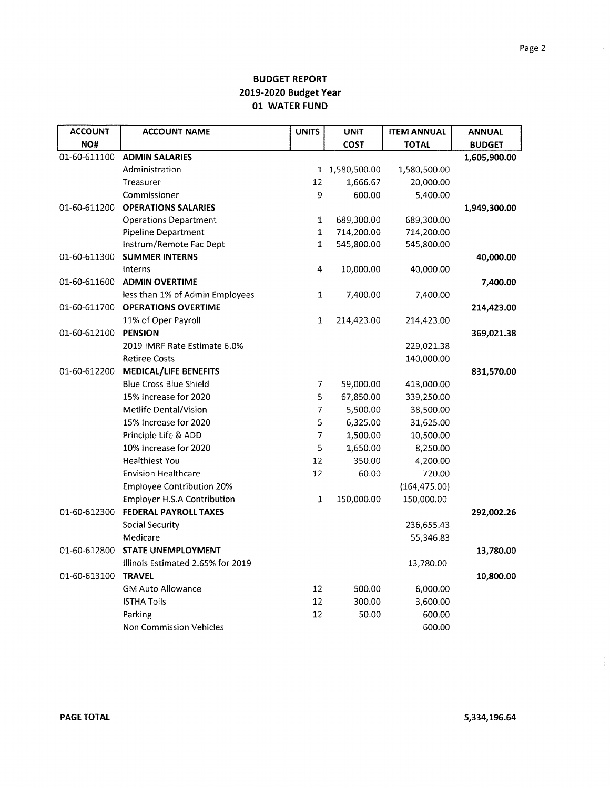| <b>ACCOUNT</b> | <b>ACCOUNT NAME</b>                | <b>UNITS</b>   | <b>UNIT</b>    | <b>ITEM ANNUAL</b> | <b>ANNUAL</b> |
|----------------|------------------------------------|----------------|----------------|--------------------|---------------|
| NO#            |                                    |                | <b>COST</b>    | <b>TOTAL</b>       | <b>BUDGET</b> |
| 01-60-611100   | <b>ADMIN SALARIES</b>              |                |                |                    | 1,605,900.00  |
|                | Administration                     |                | 1 1,580,500.00 | 1,580,500.00       |               |
|                | Treasurer                          | 12             | 1,666.67       | 20,000.00          |               |
|                | Commissioner                       | 9              | 600.00         | 5,400.00           |               |
| 01-60-611200   | <b>OPERATIONS SALARIES</b>         |                |                |                    | 1,949,300.00  |
|                | <b>Operations Department</b>       | $\mathbf{1}$   | 689,300.00     | 689,300.00         |               |
|                | Pipeline Department                | $\mathbf 1$    | 714,200.00     | 714,200.00         |               |
|                | Instrum/Remote Fac Dept            | $\mathbf{1}$   | 545,800.00     | 545,800.00         |               |
| 01-60-611300   | <b>SUMMER INTERNS</b>              |                |                |                    | 40,000.00     |
|                | Interns                            | 4              | 10,000.00      | 40,000.00          |               |
| 01-60-611600   | <b>ADMIN OVERTIME</b>              |                |                |                    | 7,400.00      |
|                | less than 1% of Admin Employees    | $\mathbf{1}$   | 7,400.00       | 7,400.00           |               |
| 01-60-611700   | <b>OPERATIONS OVERTIME</b>         |                |                |                    | 214,423.00    |
|                | 11% of Oper Payroll                | $\mathbf{1}$   | 214,423.00     | 214,423.00         |               |
| 01-60-612100   | PENSION                            |                |                |                    | 369,021.38    |
|                | 2019 IMRF Rate Estimate 6.0%       |                |                | 229,021.38         |               |
|                | <b>Retiree Costs</b>               |                |                | 140,000.00         |               |
| 01-60-612200   | <b>MEDICAL/LIFE BENEFITS</b>       |                |                |                    | 831,570.00    |
|                | <b>Blue Cross Blue Shield</b>      | 7              | 59,000.00      | 413,000.00         |               |
|                | 15% Increase for 2020              | 5              | 67,850.00      | 339,250.00         |               |
|                | Metlife Dental/Vision              | $\overline{7}$ | 5,500.00       | 38,500.00          |               |
|                | 15% Increase for 2020              | 5              | 6,325.00       | 31,625.00          |               |
|                | Principle Life & ADD               | $\overline{7}$ | 1,500.00       | 10,500.00          |               |
|                | 10% Increase for 2020              | 5              | 1,650.00       | 8,250.00           |               |
|                | <b>Healthiest You</b>              | 12             | 350.00         | 4,200.00           |               |
|                | <b>Envision Healthcare</b>         | 12             | 60.00          | 720.00             |               |
|                | <b>Employee Contribution 20%</b>   |                |                | (164, 475.00)      |               |
|                | <b>Employer H.S.A Contribution</b> | $\mathbf{1}$   | 150,000.00     | 150,000.00         |               |
| 01-60-612300   | FEDERAL PAYROLL TAXES              |                |                |                    | 292,002.26    |
|                | <b>Social Security</b>             |                |                | 236,655.43         |               |
|                | Medicare                           |                |                | 55,346.83          |               |
| 01-60-612800   | <b>STATE UNEMPLOYMENT</b>          |                |                |                    | 13,780.00     |
|                | Illinois Estimated 2.65% for 2019  |                |                | 13,780.00          |               |
| 01-60-613100   | <b>TRAVEL</b>                      |                |                |                    | 10,800.00     |
|                | <b>GM Auto Allowance</b>           | 12             | 500.00         | 6,000.00           |               |
|                | <b>ISTHA Tolls</b>                 | 12             | 300.00         | 3,600.00           |               |
|                | Parking                            | 12             | 50.00          | 600.00             |               |
|                | Non Commission Vehicles            |                |                | 600.00             |               |

 $\sim$ 

Ĵ.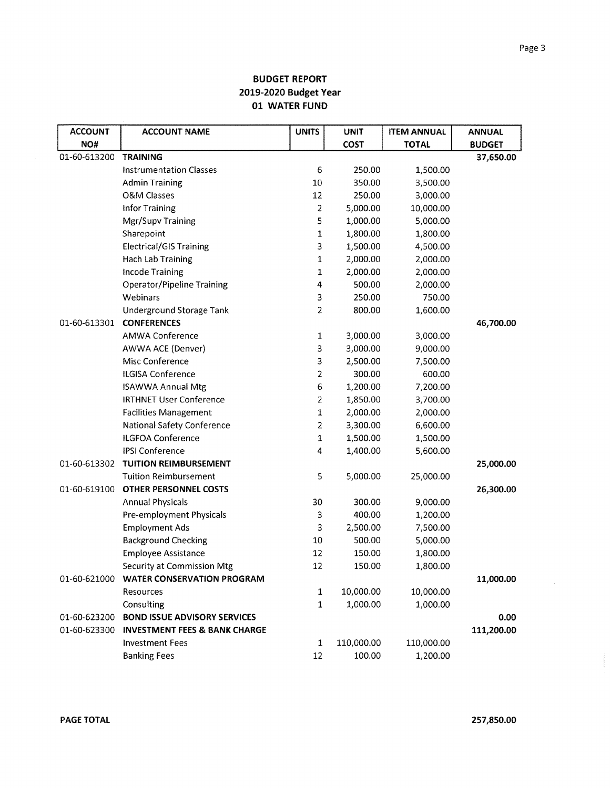| <b>ACCOUNT</b> | <b>ACCOUNT NAME</b>                      | <b>UNITS</b>   | <b>UNIT</b> | <b>ITEM ANNUAL</b> | <b>ANNUAL</b> |
|----------------|------------------------------------------|----------------|-------------|--------------------|---------------|
| NO#            |                                          |                | <b>COST</b> | <b>TOTAL</b>       | <b>BUDGET</b> |
| 01-60-613200   | <b>TRAINING</b>                          |                |             |                    | 37,650.00     |
|                | <b>Instrumentation Classes</b>           | 6              | 250.00      | 1,500.00           |               |
|                | <b>Admin Training</b>                    | 10             | 350.00      | 3,500.00           |               |
|                | <b>O&amp;M Classes</b>                   | 12             | 250.00      | 3,000.00           |               |
|                | <b>Infor Training</b>                    | $\overline{2}$ | 5,000.00    | 10,000.00          |               |
|                | Mgr/Supv Training                        | 5              | 1,000.00    | 5,000.00           |               |
|                | Sharepoint                               | $\mathbf{1}$   | 1,800.00    | 1,800.00           |               |
|                | <b>Electrical/GIS Training</b>           | 3              | 1,500.00    | 4,500.00           |               |
|                | <b>Hach Lab Training</b>                 | 1              | 2,000.00    | 2,000.00           |               |
|                | <b>Incode Training</b>                   | $\mathbf{1}$   | 2,000.00    | 2,000.00           |               |
|                | <b>Operator/Pipeline Training</b>        | 4              | 500.00      | 2,000.00           |               |
|                | Webinars                                 | 3              | 250.00      | 750.00             |               |
|                | Underground Storage Tank                 | 2              | 800.00      | 1,600.00           |               |
| 01-60-613301   | <b>CONFERENCES</b>                       |                |             |                    | 46,700.00     |
|                | <b>AMWA Conference</b>                   | 1              | 3,000.00    | 3,000.00           |               |
|                | <b>AWWA ACE (Denver)</b>                 | 3              | 3,000.00    | 9,000.00           |               |
|                | Misc Conference                          | 3              | 2,500.00    | 7,500.00           |               |
|                | ILGISA Conference                        | $\overline{c}$ | 300.00      | 600.00             |               |
|                | <b>ISAWWA Annual Mtg</b>                 | 6              | 1,200.00    | 7,200.00           |               |
|                | <b>IRTHNET User Conference</b>           | 2              | 1,850.00    | 3,700.00           |               |
|                | <b>Facilities Management</b>             | $\mathbf 1$    | 2,000.00    | 2,000.00           |               |
|                | <b>National Safety Conference</b>        | $\overline{2}$ | 3,300.00    | 6,600.00           |               |
|                | <b>ILGFOA Conference</b>                 | 1              | 1,500.00    | 1,500.00           |               |
|                | <b>IPSI Conference</b>                   | 4              | 1,400.00    | 5,600.00           |               |
| 01-60-613302   | <b>TUITION REIMBURSEMENT</b>             |                |             |                    | 25,000.00     |
|                | <b>Tuition Reimbursement</b>             | 5              | 5,000.00    | 25,000.00          |               |
| 01-60-619100   | <b>OTHER PERSONNEL COSTS</b>             |                |             |                    | 26,300.00     |
|                | <b>Annual Physicals</b>                  | 30             | 300.00      | 9,000.00           |               |
|                | Pre-employment Physicals                 | 3              | 400.00      | 1,200.00           |               |
|                | <b>Employment Ads</b>                    | 3              | 2,500.00    | 7,500.00           |               |
|                | <b>Background Checking</b>               | $10\,$         | 500.00      | 5,000.00           |               |
|                | <b>Employee Assistance</b>               | 12             | 150.00      | 1,800.00           |               |
|                | Security at Commission Mtg               | 12             | 150.00      | 1,800.00           |               |
| 01-60-621000   | <b>WATER CONSERVATION PROGRAM</b>        |                |             |                    | 11,000.00     |
|                | Resources                                | 1              | 10,000.00   | 10,000.00          |               |
|                | Consulting                               | $\mathbf{1}$   | 1,000.00    | 1,000.00           |               |
| 01-60-623200   | <b>BOND ISSUE ADVISORY SERVICES</b>      |                |             |                    | 0.00          |
| 01-60-623300   | <b>INVESTMENT FEES &amp; BANK CHARGE</b> |                |             |                    | 111,200.00    |
|                | <b>Investment Fees</b>                   | $\mathbf 1$    | 110,000.00  | 110,000.00         |               |
|                | <b>Banking Fees</b>                      | 12             | 100.00      | 1,200.00           |               |

 $\sim$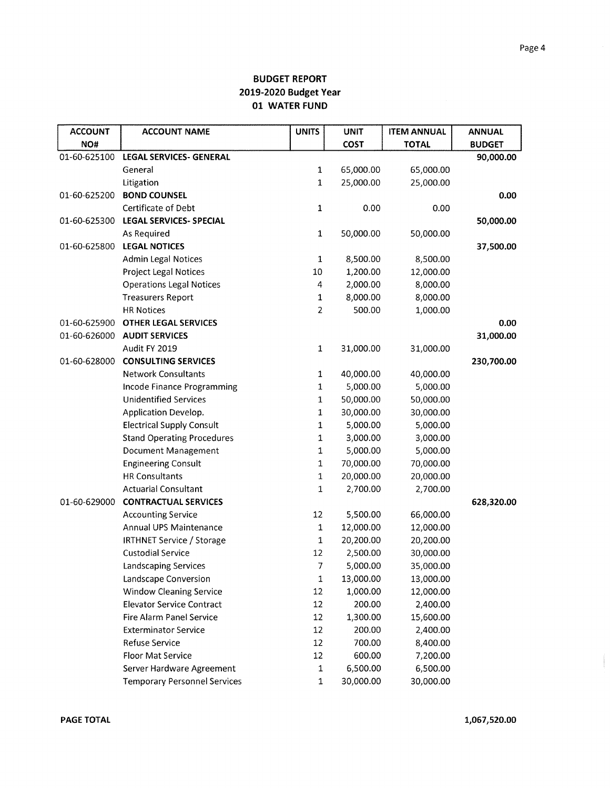| <b>ACCOUNT</b> | <b>ACCOUNT NAME</b>                 | <b>UNITS</b>   | <b>UNIT</b> | <b>ITEM ANNUAL</b> | <b>ANNUAL</b> |
|----------------|-------------------------------------|----------------|-------------|--------------------|---------------|
| NO#            |                                     |                | <b>COST</b> | <b>TOTAL</b>       | <b>BUDGET</b> |
| 01-60-625100   | <b>LEGAL SERVICES- GENERAL</b>      |                |             |                    | 90,000.00     |
|                | General                             | 1              | 65,000.00   | 65,000.00          |               |
|                | Litigation                          | 1              | 25,000.00   | 25,000.00          |               |
| 01-60-625200   | <b>BOND COUNSEL</b>                 |                |             |                    | 0.00          |
|                | Certificate of Debt                 | 1              | 0.00        | 0.00               |               |
| 01-60-625300   | <b>LEGAL SERVICES- SPECIAL</b>      |                |             |                    | 50,000.00     |
|                | As Required                         | $\mathbf 1$    | 50,000.00   | 50,000.00          |               |
| 01-60-625800   | <b>LEGAL NOTICES</b>                |                |             |                    | 37,500.00     |
|                | <b>Admin Legal Notices</b>          | $\mathbf 1$    | 8,500.00    | 8,500.00           |               |
|                | <b>Project Legal Notices</b>        | 10             | 1,200.00    | 12,000.00          |               |
|                | <b>Operations Legal Notices</b>     | 4              | 2,000.00    | 8,000.00           |               |
|                | <b>Treasurers Report</b>            | 1              | 8,000.00    | 8,000.00           |               |
|                | <b>HR Notices</b>                   | $\overline{2}$ | 500.00      | 1,000.00           |               |
| 01-60-625900   | <b>OTHER LEGAL SERVICES</b>         |                |             |                    | 0.00          |
| 01-60-626000   | <b>AUDIT SERVICES</b>               |                |             |                    | 31,000.00     |
|                | Audit FY 2019                       | $\mathbf 1$    | 31,000.00   | 31,000.00          |               |
| 01-60-628000   | <b>CONSULTING SERVICES</b>          |                |             |                    | 230,700.00    |
|                | <b>Network Consultants</b>          | 1              | 40,000.00   | 40,000.00          |               |
|                | Incode Finance Programming          | 1              | 5,000.00    | 5,000.00           |               |
|                | <b>Unidentified Services</b>        | 1              | 50,000.00   | 50,000.00          |               |
|                | Application Develop.                | 1              | 30,000.00   | 30,000.00          |               |
|                | <b>Electrical Supply Consult</b>    | 1              | 5,000.00    | 5,000.00           |               |
|                | <b>Stand Operating Procedures</b>   | 1              | 3,000.00    | 3,000.00           |               |
|                | <b>Document Management</b>          | $\mathbf 1$    | 5,000.00    | 5,000.00           |               |
|                | <b>Engineering Consult</b>          | $\mathbf 1$    | 70,000.00   | 70,000.00          |               |
|                | <b>HR Consultants</b>               | $\mathbf 1$    | 20,000.00   | 20,000.00          |               |
|                | <b>Actuarial Consultant</b>         | $\mathbf 1$    | 2,700.00    | 2,700.00           |               |
| 01-60-629000   | <b>CONTRACTUAL SERVICES</b>         |                |             |                    | 628,320.00    |
|                | <b>Accounting Service</b>           | 12             | 5,500.00    | 66,000.00          |               |
|                | Annual UPS Maintenance              | $\mathbf 1$    | 12,000.00   | 12,000.00          |               |
|                | <b>IRTHNET Service / Storage</b>    | $\mathbf{1}$   | 20,200.00   | 20,200.00          |               |
|                | <b>Custodial Service</b>            | 12             | 2,500.00    | 30,000.00          |               |
|                | <b>Landscaping Services</b>         | 7              | 5,000.00    | 35,000.00          |               |
|                | Landscape Conversion                | $\mathbf 1$    | 13,000.00   | 13,000.00          |               |
|                | <b>Window Cleaning Service</b>      | 12             | 1,000.00    | 12,000.00          |               |
|                | <b>Elevator Service Contract</b>    | $12\,$         | 200.00      | 2,400.00           |               |
|                | Fire Alarm Panel Service            | 12             | 1,300.00    | 15,600.00          |               |
|                | <b>Exterminator Service</b>         | 12             | 200.00      | 2,400.00           |               |
|                | Refuse Service                      | 12             | 700.00      | 8,400.00           |               |
|                | Floor Mat Service                   | 12             | 600.00      | 7,200.00           |               |
|                | Server Hardware Agreement           | ${\bf 1}$      | 6,500.00    | 6,500.00           |               |
|                | <b>Temporary Personnel Services</b> | $\mathbf 1$    | 30,000.00   | 30,000.00          |               |

 $\label{eq:11} \begin{array}{l} \frac{1}{2} \left( \frac{1}{2} \, \frac{1}{2} \, \frac{1}{2} \, \frac{1}{2} \, \frac{1}{2} \, \frac{1}{2} \, \frac{1}{2} \, \frac{1}{2} \, \frac{1}{2} \, \frac{1}{2} \, \frac{1}{2} \, \frac{1}{2} \, \frac{1}{2} \, \frac{1}{2} \, \frac{1}{2} \, \frac{1}{2} \, \frac{1}{2} \, \frac{1}{2} \, \frac{1}{2} \, \frac{1}{2} \, \frac{1}{2} \, \frac{1}{2$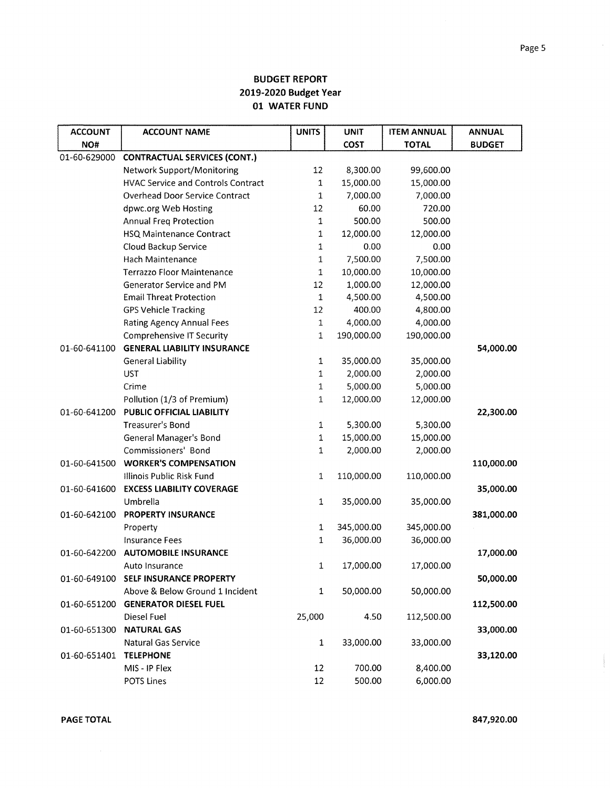| <b>ACCOUNT</b> | <b>ACCOUNT NAME</b>                       | <b>UNITS</b> | <b>UNIT</b> | <b>ITEM ANNUAL</b> | <b>ANNUAL</b> |
|----------------|-------------------------------------------|--------------|-------------|--------------------|---------------|
| NO#            |                                           |              | <b>COST</b> | <b>TOTAL</b>       | <b>BUDGET</b> |
| 01-60-629000   | <b>CONTRACTUAL SERVICES (CONT.)</b>       |              |             |                    |               |
|                | Network Support/Monitoring                | 12           | 8,300.00    | 99,600.00          |               |
|                | <b>HVAC Service and Controls Contract</b> | $\mathbf{1}$ | 15,000.00   | 15,000.00          |               |
|                | <b>Overhead Door Service Contract</b>     | $\mathbf{1}$ | 7,000.00    | 7,000.00           |               |
|                | dpwc.org Web Hosting                      | 12           | 60.00       | 720.00             |               |
|                | <b>Annual Freq Protection</b>             | 1            | 500.00      | 500.00             |               |
|                | <b>HSQ Maintenance Contract</b>           | $\mathbf 1$  | 12,000.00   | 12,000.00          |               |
|                | Cloud Backup Service                      | $\mathbf{1}$ | 0.00        | 0.00               |               |
|                | Hach Maintenance                          | $\mathbf{1}$ | 7,500.00    | 7,500.00           |               |
|                | <b>Terrazzo Floor Maintenance</b>         | $\mathbf 1$  | 10,000.00   | 10,000.00          |               |
|                | Generator Service and PM                  | 12           | 1,000.00    | 12,000.00          |               |
|                | <b>Email Threat Protection</b>            | $\mathbf 1$  | 4,500.00    | 4,500.00           |               |
|                | <b>GPS Vehicle Tracking</b>               | 12           | 400.00      | 4,800.00           |               |
|                | <b>Rating Agency Annual Fees</b>          | $\mathbf 1$  | 4,000.00    | 4,000.00           |               |
|                | Comprehensive IT Security                 | $\mathbf 1$  | 190,000.00  | 190,000.00         |               |
| 01-60-641100   | <b>GENERAL LIABILITY INSURANCE</b>        |              |             |                    | 54,000.00     |
|                | <b>General Liability</b>                  | $\mathbf{1}$ | 35,000.00   | 35,000.00          |               |
|                | <b>UST</b>                                | $\mathbf 1$  | 2,000.00    | 2,000.00           |               |
|                | Crime                                     | $\mathbf{1}$ | 5,000.00    | 5,000.00           |               |
|                | Pollution (1/3 of Premium)                | $\mathbf{1}$ | 12,000.00   | 12,000.00          |               |
| 01-60-641200   | PUBLIC OFFICIAL LIABILITY                 |              |             |                    | 22,300.00     |
|                | Treasurer's Bond                          | $\mathbf 1$  | 5,300.00    | 5,300.00           |               |
|                | <b>General Manager's Bond</b>             | $\mathbf 1$  | 15,000.00   | 15,000.00          |               |
|                | Commissioners' Bond                       | $\mathbf{1}$ | 2,000.00    | 2,000.00           |               |
| 01-60-641500   | <b>WORKER'S COMPENSATION</b>              |              |             |                    | 110,000.00    |
|                | Illinois Public Risk Fund                 | $\mathbf 1$  | 110,000.00  | 110,000.00         |               |
| 01-60-641600   | <b>EXCESS LIABILITY COVERAGE</b>          |              |             |                    | 35,000.00     |
|                | Umbrella                                  | $\mathbf 1$  | 35,000.00   | 35,000.00          |               |
| 01-60-642100   | <b>PROPERTY INSURANCE</b>                 |              |             |                    | 381,000.00    |
|                | Property                                  | 1            | 345,000.00  | 345,000.00         |               |
|                | <b>Insurance Fees</b>                     | 1            | 36,000.00   | 36,000.00          |               |
| 01-60-642200   | <b>AUTOMOBILE INSURANCE</b>               |              |             |                    | 17,000.00     |
|                | Auto Insurance                            | 1            | 17,000.00   | 17,000.00          |               |
| 01-60-649100   | SELF INSURANCE PROPERTY                   |              |             |                    | 50,000.00     |
|                | Above & Below Ground 1 Incident           | $\mathbf{1}$ | 50,000.00   | 50,000.00          |               |
| 01-60-651200   | <b>GENERATOR DIESEL FUEL</b>              |              |             |                    | 112,500.00    |
|                | Diesel Fuel                               | 25,000       | 4.50        | 112,500.00         |               |
| 01-60-651300   | <b>NATURAL GAS</b>                        |              |             |                    | 33,000.00     |
|                | <b>Natural Gas Service</b>                | $\mathbf{1}$ | 33,000.00   | 33,000.00          |               |
| 01-60-651401   | <b>TELEPHONE</b>                          |              |             |                    | 33,120.00     |
|                | MIS - IP Flex                             | 12           | 700.00      | 8,400.00           |               |
|                | POTS Lines                                | 12           | 500.00      | 6,000.00           |               |

 $\bar{\gamma}$ 

 $\label{eq:1} \begin{aligned} \mathcal{L}_{\text{G}}(x) &= \mathcal{L}_{\text{G}}(x) \in \mathcal{L}_{\text{G}}(x), \end{aligned}$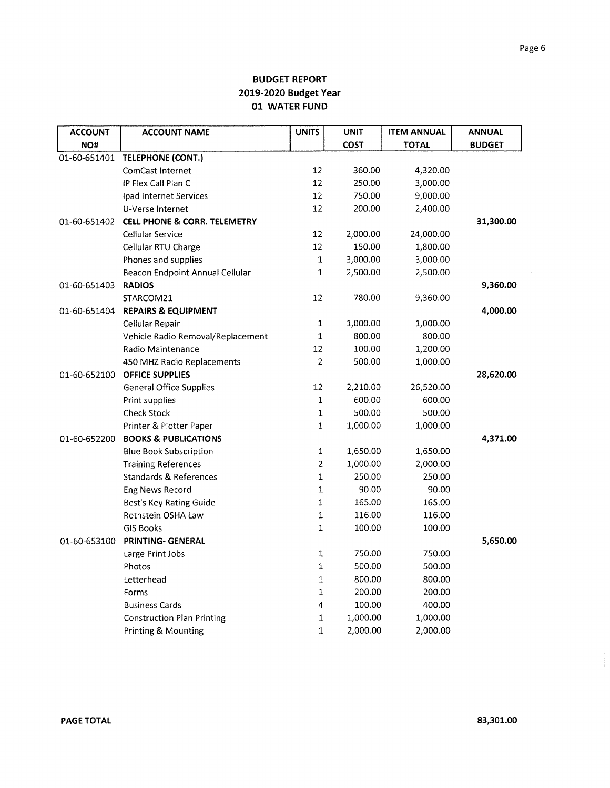| <b>ACCOUNT</b> | <b>ACCOUNT NAME</b>                     | <b>UNITS</b>   | <b>UNIT</b> | <b>ITEM ANNUAL</b> | <b>ANNUAL</b> |
|----------------|-----------------------------------------|----------------|-------------|--------------------|---------------|
| NO#            |                                         |                | COST        | <b>TOTAL</b>       | <b>BUDGET</b> |
| 01-60-651401   | <b>TELEPHONE (CONT.)</b>                |                |             |                    |               |
|                | ComCast Internet                        | 12             | 360.00      | 4,320.00           |               |
|                | IP Flex Call Plan C                     | 12             | 250.00      | 3,000.00           |               |
|                | Ipad Internet Services                  | 12             | 750.00      | 9,000.00           |               |
|                | U-Verse Internet                        | 12             | 200.00      | 2,400.00           |               |
| 01-60-651402   | <b>CELL PHONE &amp; CORR. TELEMETRY</b> |                |             |                    | 31,300.00     |
|                | Cellular Service                        | 12             | 2,000.00    | 24,000.00          |               |
|                | Cellular RTU Charge                     | 12             | 150.00      | 1,800.00           |               |
|                | Phones and supplies                     | $\mathbf{1}$   | 3,000.00    | 3,000.00           |               |
|                | Beacon Endpoint Annual Cellular         | $\mathbf 1$    | 2,500.00    | 2,500.00           |               |
| 01-60-651403   | <b>RADIOS</b>                           |                |             |                    | 9,360.00      |
|                | STARCOM21                               | 12             | 780.00      | 9,360.00           |               |
| 01-60-651404   | <b>REPAIRS &amp; EQUIPMENT</b>          |                |             |                    | 4,000.00      |
|                | Cellular Repair                         | 1              | 1,000.00    | 1,000.00           |               |
|                | Vehicle Radio Removal/Replacement       | 1              | 800.00      | 800.00             |               |
|                | Radio Maintenance                       | 12             | 100.00      | 1,200.00           |               |
|                | 450 MHZ Radio Replacements              | $\overline{2}$ | 500.00      | 1,000.00           |               |
| 01-60-652100   | <b>OFFICE SUPPLIES</b>                  |                |             |                    | 28,620.00     |
|                | <b>General Office Supplies</b>          | 12             | 2,210.00    | 26,520.00          |               |
|                | Print supplies                          | $\mathbf 1$    | 600.00      | 600.00             |               |
|                | <b>Check Stock</b>                      | 1              | 500.00      | 500.00             |               |
|                | Printer & Plotter Paper                 | $\mathbf{1}$   | 1,000.00    | 1,000.00           |               |
| 01-60-652200   | <b>BOOKS &amp; PUBLICATIONS</b>         |                |             |                    | 4,371.00      |
|                | <b>Blue Book Subscription</b>           | $\mathbf{1}$   | 1,650.00    | 1,650.00           |               |
|                | <b>Training References</b>              | $\overline{2}$ | 1,000.00    | 2,000.00           |               |
|                | <b>Standards &amp; References</b>       | $\mathbf{1}$   | 250.00      | 250.00             |               |
|                | Eng News Record                         | $\mathbf 1$    | 90.00       | 90.00              |               |
|                | Best's Key Rating Guide                 | $\mathbf{1}$   | 165.00      | 165.00             |               |
|                | Rothstein OSHA Law                      | $\mathbf 1$    | 116.00      | 116.00             |               |
|                | <b>GIS Books</b>                        | $\mathbf{1}$   | 100.00      | 100.00             |               |
| 01-60-653100   | PRINTING- GENERAL                       |                |             |                    | 5,650.00      |
|                | Large Print Jobs                        | $\mathbf 1$    | 750.00      | 750.00             |               |
|                | Photos                                  | $\mathbf 1$    | 500.00      | 500.00             |               |
|                | Letterhead                              | $\mathbf{1}$   | 800.00      | 800.00             |               |
|                | Forms                                   | 1              | 200.00      | 200.00             |               |
|                | <b>Business Cards</b>                   | 4              | 100.00      | 400.00             |               |
|                | <b>Construction Plan Printing</b>       | 1              | 1,000.00    | 1,000.00           |               |
|                | Printing & Mounting                     | $\mathbf{1}$   | 2,000.00    | 2,000.00           |               |

 $\epsilon$ 

participation.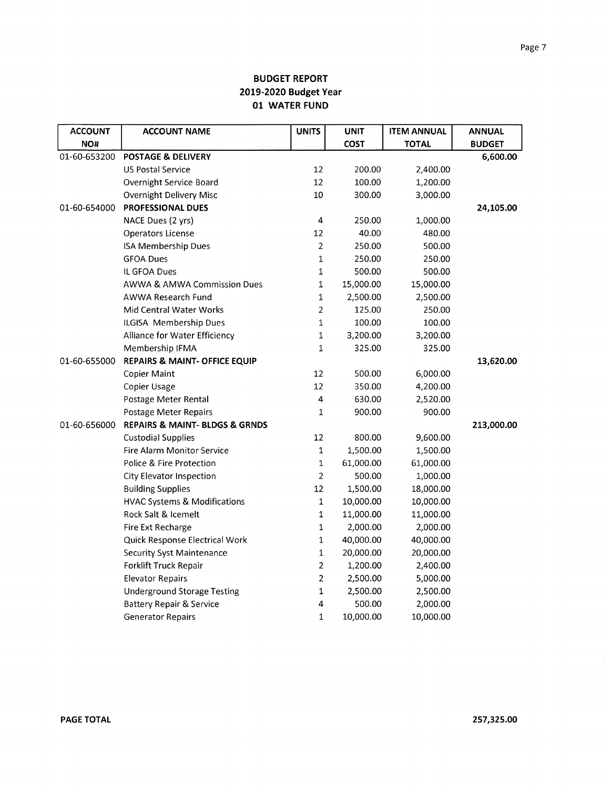| <b>ACCOUNT</b> | <b>ACCOUNT NAME</b>                           | <b>UNITS</b>   | <b>UNIT</b> | <b>ITEM ANNUAL</b> | <b>ANNUAL</b> |
|----------------|-----------------------------------------------|----------------|-------------|--------------------|---------------|
| NO#            |                                               |                | COST        | <b>TOTAL</b>       | <b>BUDGET</b> |
| 01-60-653200   | <b>POSTAGE &amp; DELIVERY</b>                 |                |             |                    | 6,600.00      |
|                | <b>US Postal Service</b>                      | 12             | 200.00      | 2,400.00           |               |
|                | Overnight Service Board                       | 12             | 100.00      | 1,200.00           |               |
|                | Overnight Delivery Misc                       | 10             | 300.00      | 3,000.00           |               |
| 01-60-654000   | <b>PROFESSIONAL DUES</b>                      |                |             |                    | 24,105.00     |
|                | NACE Dues (2 yrs)                             | 4              | 250.00      | 1,000.00           |               |
|                | <b>Operators License</b>                      | 12             | 40.00       | 480.00             |               |
|                | ISA Membership Dues                           | $\overline{2}$ | 250.00      | 500.00             |               |
|                | <b>GFOA Dues</b>                              | $\mathbf 1$    | 250.00      | 250.00             |               |
|                | IL GFOA Dues                                  | $\mathbf 1$    | 500.00      | 500.00             |               |
|                | <b>AWWA &amp; AMWA Commission Dues</b>        | $\mathbf 1$    | 15,000.00   | 15,000.00          |               |
|                | <b>AWWA Research Fund</b>                     | $\mathbf{1}$   | 2,500.00    | 2,500.00           |               |
|                | Mid Central Water Works                       | $\overline{2}$ | 125.00      | 250.00             |               |
|                | ILGISA Membership Dues                        | $\mathbf 1$    | 100.00      | 100.00             |               |
|                | Alliance for Water Efficiency                 | 1              | 3,200.00    | 3,200.00           |               |
|                | Membership IFMA                               | 1              | 325.00      | 325.00             |               |
| 01-60-655000   | REPAIRS & MAINT- OFFICE EQUIP                 |                |             |                    | 13,620.00     |
|                | <b>Copier Maint</b>                           | 12             | 500.00      | 6,000.00           |               |
|                | Copier Usage                                  | 12             | 350.00      | 4,200.00           |               |
|                | Postage Meter Rental                          | $\overline{4}$ | 630.00      | 2,520.00           |               |
|                | Postage Meter Repairs                         | 1              | 900.00      | 900.00             |               |
| 01-60-656000   | <b>REPAIRS &amp; MAINT- BLDGS &amp; GRNDS</b> |                |             |                    | 213,000.00    |
|                | <b>Custodial Supplies</b>                     | 12             | 800.00      | 9,600.00           |               |
|                | <b>Fire Alarm Monitor Service</b>             | $\mathbf{1}$   | 1,500.00    | 1,500.00           |               |
|                | Police & Fire Protection                      | 1              | 61,000.00   | 61,000.00          |               |
|                | City Elevator Inspection                      | 2              | 500.00      | 1,000.00           |               |
|                | <b>Building Supplies</b>                      | 12             | 1,500.00    | 18,000.00          |               |
|                | <b>HVAC Systems &amp; Modifications</b>       | $\mathbf{1}$   | 10,000.00   | 10,000.00          |               |
|                | Rock Salt & Icemelt                           | 1              | 11,000.00   | 11,000.00          |               |
|                | Fire Ext Recharge                             | 1              | 2,000.00    | 2,000.00           |               |
|                | Quick Response Electrical Work                | 1              | 40,000.00   | 40,000.00          |               |
|                | <b>Security Syst Maintenance</b>              | 1              | 20,000.00   | 20,000.00          |               |
|                | Forklift Truck Repair                         | $\overline{2}$ | 1,200.00    | 2,400.00           |               |
|                | <b>Elevator Repairs</b>                       | $\overline{2}$ | 2,500.00    | 5,000.00           |               |
|                | <b>Underground Storage Testing</b>            | 1              | 2,500.00    | 2,500.00           |               |
|                | <b>Battery Repair &amp; Service</b>           | 4              | 500.00      | 2,000.00           |               |
|                | <b>Generator Repairs</b>                      | $\mathbf{1}$   | 10,000.00   | 10,000.00          |               |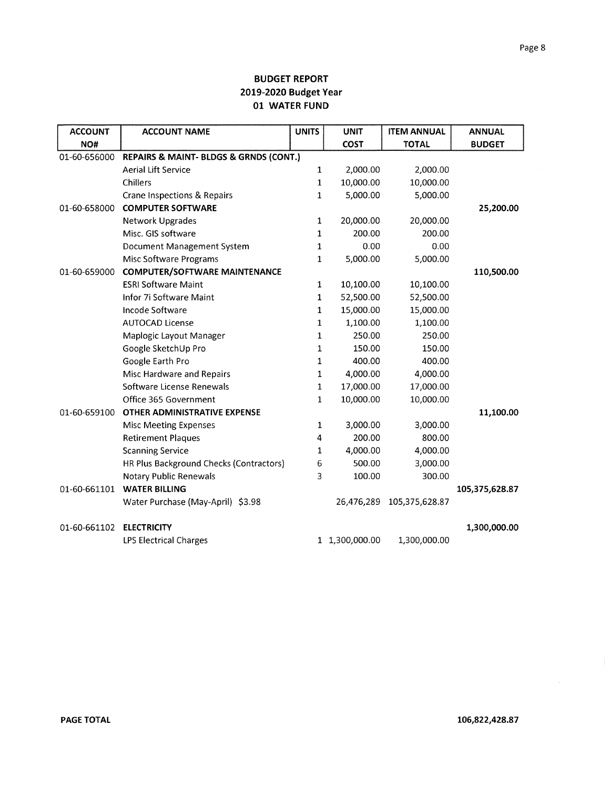| <b>ACCOUNT</b> | <b>ACCOUNT NAME</b>                     | <b>UNITS</b> | <b>UNIT</b>    | <b>ITEM ANNUAL</b> | <b>ANNUAL</b>  |
|----------------|-----------------------------------------|--------------|----------------|--------------------|----------------|
| NO#            |                                         |              | <b>COST</b>    | <b>TOTAL</b>       | <b>BUDGET</b>  |
| 01-60-656000   | REPAIRS & MAINT- BLDGS & GRNDS (CONT.)  |              |                |                    |                |
|                | <b>Aerial Lift Service</b>              | $\mathbf{1}$ | 2,000.00       | 2,000.00           |                |
|                | Chillers                                | 1            | 10,000.00      | 10,000.00          |                |
|                | Crane Inspections & Repairs             | $\mathbf{1}$ | 5,000.00       | 5,000.00           |                |
| 01-60-658000   | <b>COMPUTER SOFTWARE</b>                |              |                |                    | 25,200.00      |
|                | <b>Network Upgrades</b>                 | $\mathbf{1}$ | 20,000.00      | 20,000.00          |                |
|                | Misc. GIS software                      | 1            | 200.00         | 200.00             |                |
|                | Document Management System              | 1            | 0.00           | 0.00               |                |
|                | Misc Software Programs                  | $\mathbf{1}$ | 5,000.00       | 5,000.00           |                |
| 01-60-659000   | <b>COMPUTER/SOFTWARE MAINTENANCE</b>    |              |                |                    | 110,500.00     |
|                | <b>ESRI Software Maint</b>              | $\mathbf{1}$ | 10,100.00      | 10,100.00          |                |
|                | Infor 7i Software Maint                 | 1            | 52,500.00      | 52,500.00          |                |
|                | Incode Software                         | 1            | 15,000.00      | 15,000.00          |                |
|                | <b>AUTOCAD License</b>                  | $\mathbf{1}$ | 1,100.00       | 1,100.00           |                |
|                | Maplogic Layout Manager                 | $\mathbf{1}$ | 250.00         | 250.00             |                |
|                | Google SketchUp Pro                     | $\mathbf{1}$ | 150.00         | 150.00             |                |
|                | Google Earth Pro                        | 1            | 400.00         | 400.00             |                |
|                | Misc Hardware and Repairs               | 1            | 4,000.00       | 4,000.00           |                |
|                | Software License Renewals               | $\mathbf 1$  | 17,000.00      | 17,000.00          |                |
|                | Office 365 Government                   | $\mathbf{1}$ | 10,000.00      | 10,000.00          |                |
| 01-60-659100   | OTHER ADMINISTRATIVE EXPENSE            |              |                |                    | 11,100.00      |
|                | <b>Misc Meeting Expenses</b>            | $\mathbf{1}$ | 3,000.00       | 3,000.00           |                |
|                | <b>Retirement Plaques</b>               | 4            | 200.00         | 800.00             |                |
|                | <b>Scanning Service</b>                 | $\mathbf{1}$ | 4,000.00       | 4,000.00           |                |
|                | HR Plus Background Checks (Contractors) | 6            | 500.00         | 3,000.00           |                |
|                | <b>Notary Public Renewals</b>           | 3            | 100.00         | 300.00             |                |
| 01-60-661101   | <b>WATER BILLING</b>                    |              |                |                    | 105,375,628.87 |
|                | Water Purchase (May-April) \$3.98       |              | 26,476,289     | 105,375,628.87     |                |
| 01-60-661102   | <b>ELECTRICITY</b>                      |              |                |                    | 1,300,000.00   |
|                | <b>LPS Electrical Charges</b>           |              | 1 1,300,000.00 | 1,300,000.00       |                |

 $\frac{1}{2}$ 

 $\bar{\gamma}$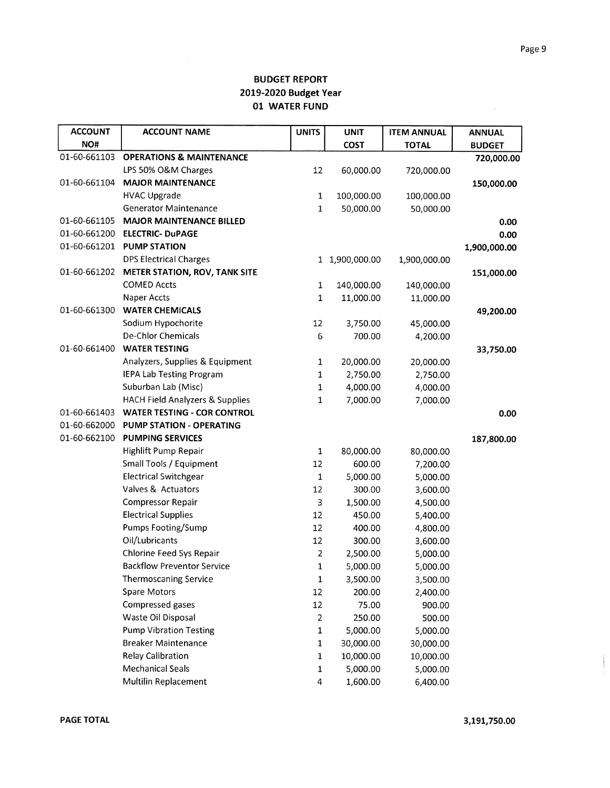| <b>ACCOUNT</b> | <b>ACCOUNT NAME</b>                        | <b>UNITS</b> | <b>UNIT</b>    | <b>ITEM ANNUAL</b> | <b>ANNUAL</b> |
|----------------|--------------------------------------------|--------------|----------------|--------------------|---------------|
| NO#            |                                            |              | COST           | <b>TOTAL</b>       | <b>BUDGET</b> |
| 01-60-661103   | <b>OPERATIONS &amp; MAINTENANCE</b>        |              |                |                    | 720,000.00    |
|                | LPS 50% O&M Charges                        | 12           | 60,000.00      | 720,000.00         |               |
| 01-60-661104   | <b>MAJOR MAINTENANCE</b>                   |              |                |                    | 150,000.00    |
|                | <b>HVAC Upgrade</b>                        | 1            | 100,000.00     | 100,000.00         |               |
|                | <b>Generator Maintenance</b>               | 1            | 50,000.00      | 50,000.00          |               |
| 01-60-661105   | <b>MAJOR MAINTENANCE BILLED</b>            |              |                |                    | 0.00          |
| 01-60-661200   | <b>ELECTRIC- DuPAGE</b>                    |              |                |                    | 0.00          |
| 01-60-661201   | <b>PUMP STATION</b>                        |              |                |                    | 1,900,000.00  |
|                | <b>DPS Electrical Charges</b>              |              | 1 1,900,000.00 | 1,900,000.00       |               |
| 01-60-661202   | <b>METER STATION, ROV, TANK SITE</b>       |              |                |                    | 151,000.00    |
|                | <b>COMED Accts</b>                         | 1            | 140,000.00     | 140,000.00         |               |
|                | Naper Accts                                | 1            | 11,000.00      | 11,000.00          |               |
| 01-60-661300   | <b>WATER CHEMICALS</b>                     |              |                |                    | 49,200.00     |
|                | Sodium Hypochorite                         | 12           | 3,750.00       | 45,000.00          |               |
|                | De-Chlor Chemicals                         | 6            | 700.00         | 4,200.00           |               |
| 01-60-661400   | <b>WATER TESTING</b>                       |              |                |                    | 33,750.00     |
|                | Analyzers, Supplies & Equipment            | 1            | 20,000.00      | 20,000.00          |               |
|                | <b>IEPA Lab Testing Program</b>            | 1            | 2,750.00       | 2,750.00           |               |
|                | Suburban Lab (Misc)                        | 1            | 4,000.00       | 4,000.00           |               |
|                | <b>HACH Field Analyzers &amp; Supplies</b> | 1            | 7,000.00       | 7,000.00           |               |
| 01-60-661403   | <b>WATER TESTING - COR CONTROL</b>         |              |                |                    | 0.00          |
| 01-60-662000   | PUMP STATION - OPERATING                   |              |                |                    |               |
| 01-60-662100   | <b>PUMPING SERVICES</b>                    |              |                |                    | 187,800.00    |
|                | Highlift Pump Repair                       | $\mathbf{1}$ | 80,000.00      | 80,000.00          |               |
|                | Small Tools / Equipment                    | 12           | 600.00         | 7,200.00           |               |
|                | <b>Electrical Switchgear</b>               | 1            | 5,000.00       | 5,000.00           |               |
|                | Valves & Actuators                         | 12           | 300.00         | 3,600.00           |               |
|                | <b>Compressor Repair</b>                   | 3            | 1,500.00       | 4,500.00           |               |
|                | <b>Electrical Supplies</b>                 | 12           | 450.00         | 5,400.00           |               |
|                | <b>Pumps Footing/Sump</b>                  | 12           | 400.00         | 4,800.00           |               |
|                | Oil/Lubricants                             | 12           | 300.00         | 3,600.00           |               |
|                | <b>Chlorine Feed Sys Repair</b>            | 2            | 2,500.00       | 5,000.00           |               |
|                | <b>Backflow Preventor Service</b>          | $\mathbf 1$  | 5,000.00       | 5,000.00           |               |
|                | <b>Thermoscaning Service</b>               | $\mathbf{1}$ | 3,500.00       | 3,500.00           |               |
|                | Spare Motors                               | 12           | 200.00         | 2,400.00           |               |
|                | Compressed gases                           | 12           | 75.00          | 900.00             |               |
|                | Waste Oil Disposal                         | 2            | 250.00         | 500.00             |               |
|                | <b>Pump Vibration Testing</b>              | 1            | 5,000.00       | 5,000.00           |               |
|                | <b>Breaker Maintenance</b>                 | $\mathbf 1$  | 30,000.00      | 30,000.00          |               |
|                | <b>Relay Calibration</b>                   | $\mathbf 1$  | 10,000.00      | 10,000.00          |               |
|                | <b>Mechanical Seals</b>                    | 1            | 5,000.00       | 5,000.00           |               |
|                | Multilin Replacement                       | 4            | 1,600.00       | 6,400.00           |               |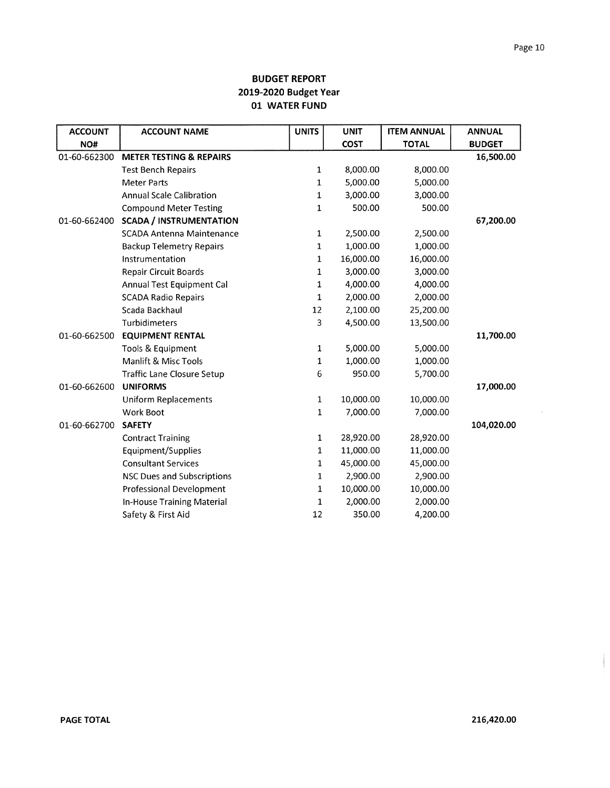| <b>ACCOUNT</b> | <b>ACCOUNT NAME</b>                | <b>UNITS</b> | <b>UNIT</b> | <b>ITEM ANNUAL</b> | <b>ANNUAL</b> |
|----------------|------------------------------------|--------------|-------------|--------------------|---------------|
| NO#            |                                    |              | <b>COST</b> | <b>TOTAL</b>       | <b>BUDGET</b> |
| 01-60-662300   | <b>METER TESTING &amp; REPAIRS</b> |              |             |                    | 16,500.00     |
|                | <b>Test Bench Repairs</b>          | $\mathbf{1}$ | 8,000.00    | 8,000.00           |               |
|                | <b>Meter Parts</b>                 | $\mathbf{1}$ | 5,000.00    | 5,000.00           |               |
|                | <b>Annual Scale Calibration</b>    | $\mathbf{1}$ | 3,000.00    | 3,000.00           |               |
|                | <b>Compound Meter Testing</b>      | $\mathbf 1$  | 500.00      | 500.00             |               |
| 01-60-662400   | <b>SCADA / INSTRUMENTATION</b>     |              |             |                    | 67,200.00     |
|                | <b>SCADA Antenna Maintenance</b>   | $\mathbf{1}$ | 2,500.00    | 2,500.00           |               |
|                | <b>Backup Telemetry Repairs</b>    | $\mathbf{1}$ | 1,000.00    | 1,000.00           |               |
|                | Instrumentation                    | 1            | 16,000.00   | 16,000.00          |               |
|                | <b>Repair Circuit Boards</b>       | 1            | 3,000.00    | 3,000.00           |               |
|                | Annual Test Equipment Cal          | 1            | 4,000.00    | 4,000.00           |               |
|                | <b>SCADA Radio Repairs</b>         | 1            | 2,000.00    | 2,000.00           |               |
|                | Scada Backhaul                     | 12           | 2,100.00    | 25,200.00          |               |
|                | Turbidimeters                      | 3            | 4,500.00    | 13,500.00          |               |
| 01-60-662500   | <b>EQUIPMENT RENTAL</b>            |              |             |                    | 11,700.00     |
|                | Tools & Equipment                  | $\mathbf{1}$ | 5,000.00    | 5,000.00           |               |
|                | Manlift & Misc Tools               | $\mathbf{1}$ | 1,000.00    | 1,000.00           |               |
|                | <b>Traffic Lane Closure Setup</b>  | 6            | 950.00      | 5,700.00           |               |
| 01-60-662600   | <b>UNIFORMS</b>                    |              |             |                    | 17,000.00     |
|                | <b>Uniform Replacements</b>        | $1\,$        | 10,000.00   | 10,000.00          |               |
|                | Work Boot                          | 1            | 7,000.00    | 7,000.00           |               |
| 01-60-662700   | <b>SAFETY</b>                      |              |             |                    | 104,020.00    |
|                | <b>Contract Training</b>           | 1            | 28,920.00   | 28,920.00          |               |
|                | Equipment/Supplies                 | 1            | 11,000.00   | 11,000.00          |               |
|                | <b>Consultant Services</b>         | 1            | 45,000.00   | 45,000.00          |               |
|                | <b>NSC Dues and Subscriptions</b>  | 1            | 2,900.00    | 2,900.00           |               |
|                | <b>Professional Development</b>    | 1            | 10,000.00   | 10,000.00          |               |
|                | In-House Training Material         | 1            | 2,000.00    | 2,000.00           |               |
|                | Safety & First Aid                 | 12           | 350.00      | 4,200.00           |               |

 $\mathcal{L}_{\mathcal{A}}$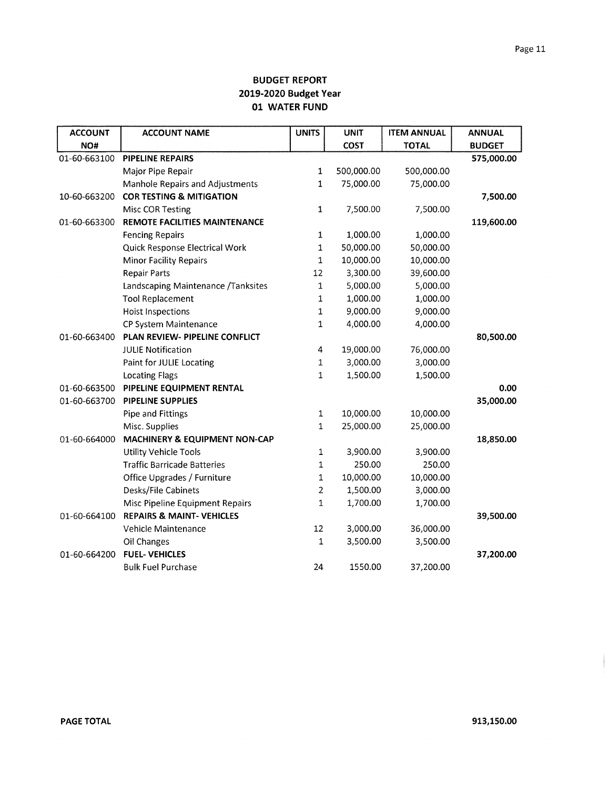| <b>ACCOUNT</b> | <b>ACCOUNT NAME</b>                  | <b>UNITS</b> | <b>UNIT</b> | <b>ITEM ANNUAL</b> | <b>ANNUAL</b> |
|----------------|--------------------------------------|--------------|-------------|--------------------|---------------|
| NO#            |                                      |              | <b>COST</b> | <b>TOTAL</b>       | <b>BUDGET</b> |
| 01-60-663100   | <b>PIPELINE REPAIRS</b>              |              |             |                    | 575,000.00    |
|                | Major Pipe Repair                    | $\mathbf{1}$ | 500,000.00  | 500,000.00         |               |
|                | Manhole Repairs and Adjustments      | $\mathbf{1}$ | 75,000.00   | 75,000.00          |               |
| 10-60-663200   | <b>COR TESTING &amp; MITIGATION</b>  |              |             |                    | 7,500.00      |
|                | Misc COR Testing                     | 1            | 7,500.00    | 7,500.00           |               |
| 01-60-663300   | REMOTE FACILITIES MAINTENANCE        |              |             |                    | 119,600.00    |
|                | <b>Fencing Repairs</b>               | $\mathbf 1$  | 1,000.00    | 1,000.00           |               |
|                | Quick Response Electrical Work       | $\mathbf 1$  | 50,000.00   | 50,000.00          |               |
|                | <b>Minor Facility Repairs</b>        | $\mathbf 1$  | 10,000.00   | 10,000.00          |               |
|                | <b>Repair Parts</b>                  | 12           | 3,300.00    | 39,600.00          |               |
|                | Landscaping Maintenance /Tanksites   | $\mathbf 1$  | 5,000.00    | 5,000.00           |               |
|                | <b>Tool Replacement</b>              | 1            | 1,000.00    | 1,000.00           |               |
|                | <b>Hoist Inspections</b>             | $\mathbf 1$  | 9,000.00    | 9,000.00           |               |
|                | CP System Maintenance                | 1            | 4,000.00    | 4,000.00           |               |
| 01-60-663400   | PLAN REVIEW- PIPELINE CONFLICT       |              |             |                    | 80,500.00     |
|                | <b>JULIE Notification</b>            | 4            | 19,000.00   | 76,000.00          |               |
|                | Paint for JULIE Locating             | $\mathbf{1}$ | 3,000.00    | 3,000.00           |               |
|                | <b>Locating Flags</b>                | $\mathbf{1}$ | 1,500.00    | 1,500.00           |               |
| 01-60-663500   | PIPELINE EQUIPMENT RENTAL            |              |             |                    | 0.00          |
| 01-60-663700   | <b>PIPELINE SUPPLIES</b>             |              |             |                    | 35,000.00     |
|                | <b>Pipe and Fittings</b>             | 1            | 10,000.00   | 10,000.00          |               |
|                | Misc. Supplies                       | 1            | 25,000.00   | 25,000.00          |               |
| 01-60-664000   | MACHINERY & EQUIPMENT NON-CAP        |              |             |                    | 18,850.00     |
|                | <b>Utility Vehicle Tools</b>         | 1            | 3,900.00    | 3,900.00           |               |
|                | <b>Traffic Barricade Batteries</b>   | 1            | 250.00      | 250.00             |               |
|                | Office Upgrades / Furniture          | $\mathbf 1$  | 10,000.00   | 10,000.00          |               |
|                | Desks/File Cabinets                  | 2            | 1,500.00    | 3,000.00           |               |
|                | Misc Pipeline Equipment Repairs      | 1            | 1,700.00    | 1,700.00           |               |
| 01-60-664100   | <b>REPAIRS &amp; MAINT- VEHICLES</b> |              |             |                    | 39,500.00     |
|                | <b>Vehicle Maintenance</b>           | 12           | 3,000.00    | 36,000.00          |               |
|                | Oil Changes                          | 1            | 3,500.00    | 3,500.00           |               |
| 01-60-664200   | <b>FUEL-VEHICLES</b>                 |              |             |                    | 37,200.00     |
|                | <b>Bulk Fuel Purchase</b>            | 24           | 1550.00     | 37,200.00          |               |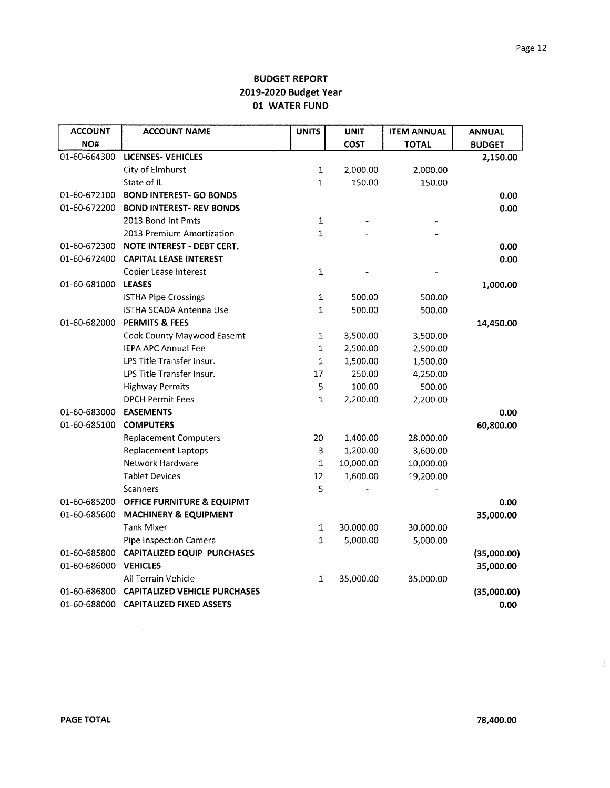| <b>ACCOUNT</b> | <b>ACCOUNT NAME</b>                   | <b>UNITS</b> | <b>UNIT</b> | <b>ITEM ANNUAL</b> | <b>ANNUAL</b> |
|----------------|---------------------------------------|--------------|-------------|--------------------|---------------|
| NO#            |                                       |              | <b>COST</b> | <b>TOTAL</b>       | <b>BUDGET</b> |
| 01-60-664300   | <b>LICENSES- VEHICLES</b>             |              |             |                    | 2,150.00      |
|                | City of Elmhurst                      | 1            | 2,000.00    | 2,000.00           |               |
|                | State of IL                           | $\mathbf{1}$ | 150.00      | 150.00             |               |
| 01-60-672100   | <b>BOND INTEREST- GO BONDS</b>        |              |             |                    | 0.00          |
| 01-60-672200   | <b>BOND INTEREST- REV BONDS</b>       |              |             |                    | 0.00          |
|                | 2013 Bond Int Pmts                    | $\mathbf{1}$ |             |                    |               |
|                | 2013 Premium Amortization             | $\mathbf{1}$ |             |                    |               |
| 01-60-672300   | <b>NOTE INTEREST - DEBT CERT.</b>     |              |             |                    | 0.00          |
|                | 01-60-672400 CAPITAL LEASE INTEREST   |              |             |                    | 0.00          |
|                | Copier Lease Interest                 | $\mathbf 1$  |             |                    |               |
| 01-60-681000   | <b>LEASES</b>                         |              |             |                    | 1,000.00      |
|                | <b>ISTHA Pipe Crossings</b>           | $\mathbf{1}$ | 500.00      | 500.00             |               |
|                | ISTHA SCADA Antenna Use               | $\mathbf{1}$ | 500.00      | 500.00             |               |
| 01-60-682000   | <b>PERMITS &amp; FEES</b>             |              |             |                    | 14,450.00     |
|                | Cook County Maywood Easemt            | $\mathbf 1$  | 3,500.00    | 3,500.00           |               |
|                | <b>IEPA APC Annual Fee</b>            | $\mathbf 1$  | 2,500.00    | 2,500.00           |               |
|                | LPS Title Transfer Insur.             | 1            | 1,500.00    | 1,500.00           |               |
|                | LPS Title Transfer Insur.             | 17           | 250.00      | 4,250.00           |               |
|                | <b>Highway Permits</b>                | 5            | 100.00      | 500.00             |               |
|                | <b>DPCH Permit Fees</b>               | $\mathbf{1}$ | 2,200.00    | 2,200.00           |               |
| 01-60-683000   | <b>EASEMENTS</b>                      |              |             |                    | 0.00          |
| 01-60-685100   | <b>COMPUTERS</b>                      |              |             |                    | 60,800.00     |
|                | <b>Replacement Computers</b>          | 20           | 1,400.00    | 28,000.00          |               |
|                | <b>Replacement Laptops</b>            | 3            | 1,200.00    | 3,600.00           |               |
|                | Network Hardware                      | $\mathbf 1$  | 10,000.00   | 10,000.00          |               |
|                | <b>Tablet Devices</b>                 | 12           | 1,600.00    | 19,200.00          |               |
|                | <b>Scanners</b>                       | 5            |             |                    |               |
| 01-60-685200   | <b>OFFICE FURNITURE &amp; EQUIPMT</b> |              |             |                    | 0.00          |
| 01-60-685600   | <b>MACHINERY &amp; EQUIPMENT</b>      |              |             |                    | 35,000.00     |
|                | <b>Tank Mixer</b>                     | $\mathbf{1}$ | 30,000.00   | 30,000.00          |               |
|                | Pipe Inspection Camera                | $\mathbf{1}$ | 5,000.00    | 5,000.00           |               |
| 01-60-685800   | <b>CAPITALIZED EQUIP PURCHASES</b>    |              |             |                    | (35,000.00)   |
| 01-60-686000   | <b>VEHICLES</b>                       |              |             |                    | 35,000.00     |
|                | All Terrain Vehicle                   | $\mathbf 1$  | 35,000.00   | 35,000.00          |               |
| 01-60-686800   | <b>CAPITALIZED VEHICLE PURCHASES</b>  |              |             |                    | (35,000.00)   |
|                | 01-60-688000 CAPITALIZED FIXED ASSETS |              |             |                    | 0.00          |

 $\sim 10^{-11}$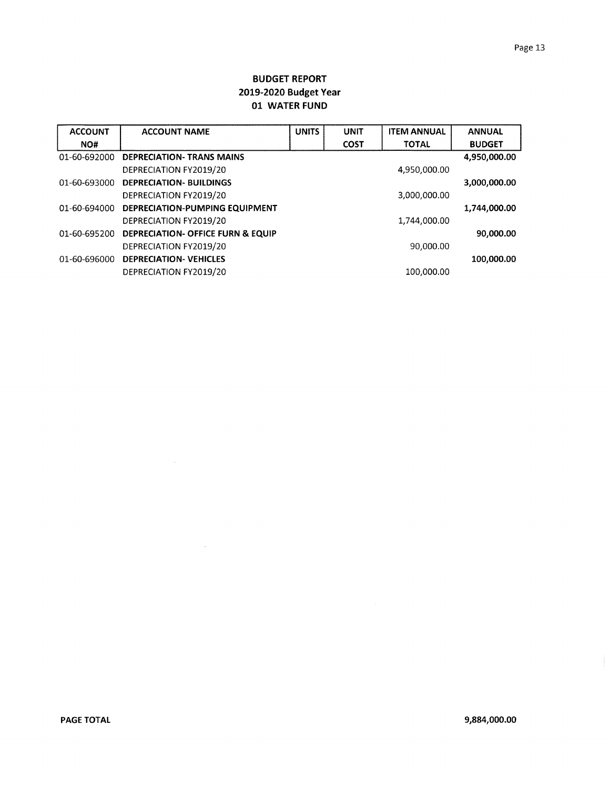| <b>ACCOUNT</b> | <b>ACCOUNT NAME</b>                          | <b>UNITS</b> | <b>UNIT</b> | <b>ITEM ANNUAL</b> | <b>ANNUAL</b> |
|----------------|----------------------------------------------|--------------|-------------|--------------------|---------------|
| NO#            |                                              |              | <b>COST</b> | <b>TOTAL</b>       | <b>BUDGET</b> |
| 01-60-692000   | <b>DEPRECIATION- TRANS MAINS</b>             |              |             |                    | 4,950,000.00  |
|                | DEPRECIATION FY2019/20                       |              |             | 4,950,000.00       |               |
| 01-60-693000   | <b>DEPRECIATION- BUILDINGS</b>               |              |             |                    | 3,000,000.00  |
|                | DEPRECIATION FY2019/20                       |              |             | 3,000,000.00       |               |
| 01-60-694000   | DEPRECIATION-PUMPING EQUIPMENT               |              |             |                    | 1,744,000.00  |
|                | DEPRECIATION FY2019/20                       |              |             | 1,744,000.00       |               |
| 01-60-695200   | <b>DEPRECIATION- OFFICE FURN &amp; EQUIP</b> |              |             |                    | 90,000.00     |
|                | DEPRECIATION FY2019/20                       |              |             | 90,000.00          |               |
| 01-60-696000   | <b>DEPRECIATION- VEHICLES</b>                |              |             |                    | 100,000.00    |
|                | DEPRECIATION FY2019/20                       |              |             | 100,000.00         |               |

 $\sim$   $\sim$ 

 $\sim$